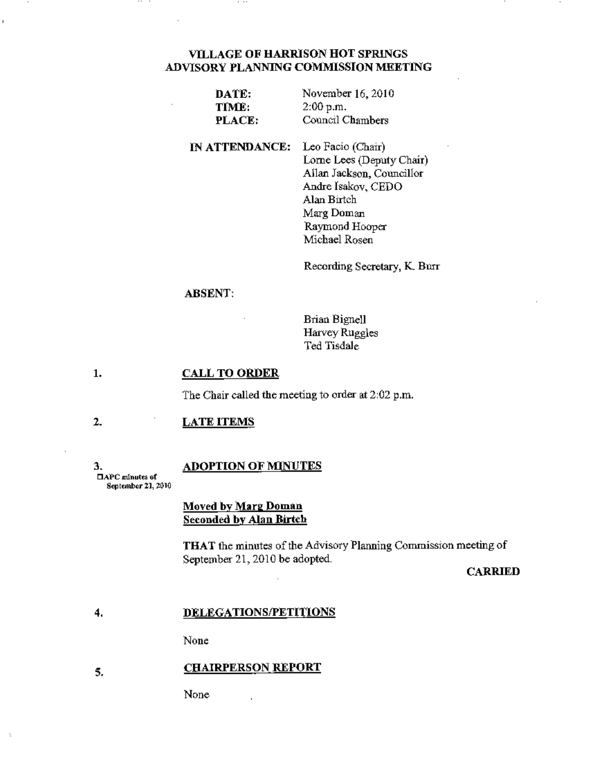# Vll.LAGE OF HARRISON HOT SPRINGS ADVISORY PLANNING COMMISSION MEETING

| DATE:  | November 16, 2010 |
|--------|-------------------|
| TIME:  | 2:00 p.m.         |
| PLACE: | Council Chambers  |

IN ATTENDANCE: Leo Facio (Chair) Lome Lees (Deputy Chair) Allan Jackson, Councillor Andre Isakov, CEDO Alan Birtch Marg Doman Raymond Hooper Michael Rosen

Recording Secretary, K Burr

### ABSENT:

Brian Bignell Harvey Ruggles Ted Tisdale

### 1. CALL TO ORDER

The Chair called the meeting to order at 2:02 p.m.

#### 2. LATE ITEMS

3. DAPC minutes uf

. .

### **ADOPTION OF MINUTES**

September 21, 2010

## Moved by Marg Doman Seconded by Alan Birtch

THAT the minutes of the Advisory Planning Commission meeting of September 21, 2010 be adopted.

CARRIED

### 4. DELEGATIONS/PETITIONS

None

### 5. CHAIRPERSON REPORT

None